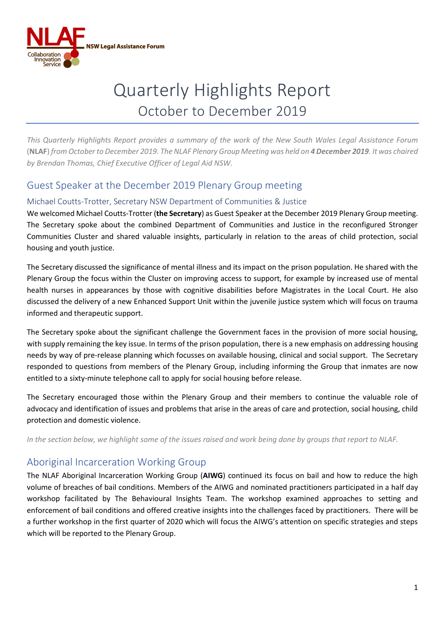

# Quarterly Highlights Report October to December 2019

*This Quarterly Highlights Report provides a summary of the work of the New South Wales Legal Assistance Forum*  (**NLAF**) *from October to December 2019. The NLAF Plenary Group Meeting was held on 4 December 2019. It was chaired by Brendan Thomas, Chief Executive Officer of Legal Aid NSW.*

#### Guest Speaker at the December 2019 Plenary Group meeting

#### Michael Coutts-Trotter, Secretary NSW Department of Communities & Justice

We welcomed Michael Coutts-Trotter (**the Secretary**) as Guest Speaker at the December 2019 Plenary Group meeting. The Secretary spoke about the combined Department of Communities and Justice in the reconfigured Stronger Communities Cluster and shared valuable insights, particularly in relation to the areas of child protection, social housing and youth justice.

The Secretary discussed the significance of mental illness and its impact on the prison population. He shared with the Plenary Group the focus within the Cluster on improving access to support, for example by increased use of mental health nurses in appearances by those with cognitive disabilities before Magistrates in the Local Court. He also discussed the delivery of a new Enhanced Support Unit within the juvenile justice system which will focus on trauma informed and therapeutic support.

The Secretary spoke about the significant challenge the Government faces in the provision of more social housing, with supply remaining the key issue. In terms of the prison population, there is a new emphasis on addressing housing needs by way of pre-release planning which focusses on available housing, clinical and social support. The Secretary responded to questions from members of the Plenary Group, including informing the Group that inmates are now entitled to a sixty-minute telephone call to apply for social housing before release.

The Secretary encouraged those within the Plenary Group and their members to continue the valuable role of advocacy and identification of issues and problems that arise in the areas of care and protection, social housing, child protection and domestic violence.

*In the section below, we highlight some of the issues raised and work being done by groups that report to NLAF.*

#### Aboriginal Incarceration Working Group

The NLAF Aboriginal Incarceration Working Group (**AIWG**) continued its focus on bail and how to reduce the high volume of breaches of bail conditions. Members of the AIWG and nominated practitioners participated in a half day workshop facilitated by The Behavioural Insights Team. The workshop examined approaches to setting and enforcement of bail conditions and offered creative insights into the challenges faced by practitioners. There will be a further workshop in the first quarter of 2020 which will focus the AIWG's attention on specific strategies and steps which will be reported to the Plenary Group.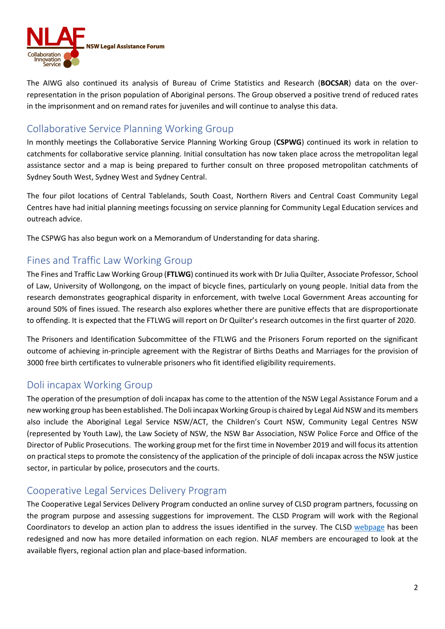

The AIWG also continued its analysis of Bureau of Crime Statistics and Research (**BOCSAR**) data on the overrepresentation in the prison population of Aboriginal persons. The Group observed a positive trend of reduced rates in the imprisonment and on remand rates for juveniles and will continue to analyse this data.

#### Collaborative Service Planning Working Group

In monthly meetings the Collaborative Service Planning Working Group (**CSPWG**) continued its work in relation to catchments for collaborative service planning. Initial consultation has now taken place across the metropolitan legal assistance sector and a map is being prepared to further consult on three proposed metropolitan catchments of Sydney South West, Sydney West and Sydney Central.

The four pilot locations of Central Tablelands, South Coast, Northern Rivers and Central Coast Community Legal Centres have had initial planning meetings focussing on service planning for Community Legal Education services and outreach advice.

The CSPWG has also begun work on a Memorandum of Understanding for data sharing.

### Fines and Traffic Law Working Group

The Fines and Traffic Law Working Group (**FTLWG**) continued its work with Dr Julia Quilter, Associate Professor, School of Law, University of Wollongong, on the impact of bicycle fines, particularly on young people. Initial data from the research demonstrates geographical disparity in enforcement, with twelve Local Government Areas accounting for around 50% of fines issued. The research also explores whether there are punitive effects that are disproportionate to offending. It is expected that the FTLWG will report on Dr Quilter's research outcomes in the first quarter of 2020.

The Prisoners and Identification Subcommittee of the FTLWG and the Prisoners Forum reported on the significant outcome of achieving in-principle agreement with the Registrar of Births Deaths and Marriages for the provision of 3000 free birth certificates to vulnerable prisoners who fit identified eligibility requirements.

#### Doli incapax Working Group

The operation of the presumption of doli incapax has come to the attention of the NSW Legal Assistance Forum and a new working group has been established. The Doli incapax Working Group is chaired by Legal Aid NSW and its members also include the Aboriginal Legal Service NSW/ACT, the Children's Court NSW, Community Legal Centres NSW (represented by Youth Law), the Law Society of NSW, the NSW Bar Association, NSW Police Force and Office of the Director of Public Prosecutions. The working group met for the first time in November 2019 and will focus its attention on practical steps to promote the consistency of the application of the principle of doli incapax across the NSW justice sector, in particular by police, prosecutors and the courts.

#### Cooperative Legal Services Delivery Program

The Cooperative Legal Services Delivery Program conducted an online survey of CLSD program partners, focussing on the program purpose and assessing suggestions for improvement. The CLSD Program will work with the Regional Coordinators to develop an action plan to address the issues identified in the survey. The CLSD [webpage](https://www.legalaid.nsw.gov.au/what-we-do/community-partnerships/cooperative-legal-services-delivery-clsd-program) has been redesigned and now has more detailed information on each region. NLAF members are encouraged to look at the available flyers, regional action plan and place-based information.